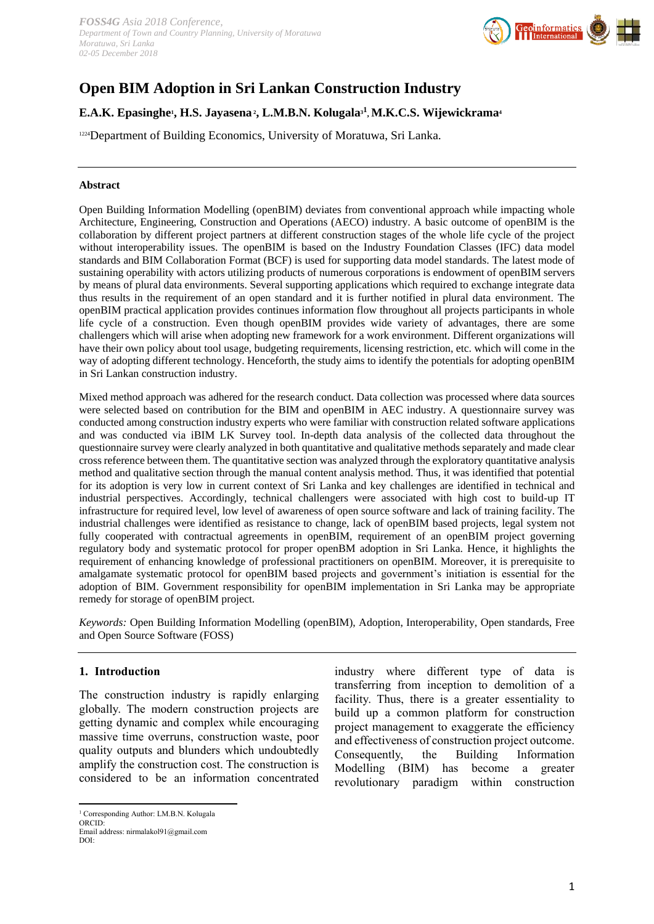

# **Open BIM Adoption in Sri Lankan Construction Industry**

# **E.A.K. Epasinghe<sup>1</sup> , H.S. Jayasena<sup>2</sup> , L.M.B.N. Kolugala3<sup>1</sup> , M.K.C.S. Wijewickrama<sup>4</sup>**

<sup>1224</sup>Department of Building Economics, University of Moratuwa, Sri Lanka.

#### **Abstract**

Open Building Information Modelling (openBIM) deviates from conventional approach while impacting whole Architecture, Engineering, Construction and Operations (AECO) industry. A basic outcome of openBIM is the collaboration by different project partners at different construction stages of the whole life cycle of the project without interoperability issues. The openBIM is based on the Industry Foundation Classes (IFC) data model standards and BIM Collaboration Format (BCF) is used for supporting data model standards. The latest mode of sustaining operability with actors utilizing products of numerous corporations is endowment of openBIM servers by means of plural data environments. Several supporting applications which required to exchange integrate data thus results in the requirement of an open standard and it is further notified in plural data environment. The openBIM practical application provides continues information flow throughout all projects participants in whole life cycle of a construction. Even though openBIM provides wide variety of advantages, there are some challengers which will arise when adopting new framework for a work environment. Different organizations will have their own policy about tool usage, budgeting requirements, licensing restriction, etc. which will come in the way of adopting different technology. Henceforth, the study aims to identify the potentials for adopting openBIM in Sri Lankan construction industry.

Mixed method approach was adhered for the research conduct. Data collection was processed where data sources were selected based on contribution for the BIM and openBIM in AEC industry. A questionnaire survey was conducted among construction industry experts who were familiar with construction related software applications and was conducted via iBIM LK Survey tool. In-depth data analysis of the collected data throughout the questionnaire survey were clearly analyzed in both quantitative and qualitative methods separately and made clear cross reference between them. The quantitative section was analyzed through the exploratory quantitative analysis method and qualitative section through the manual content analysis method. Thus, it was identified that potential for its adoption is very low in current context of Sri Lanka and key challenges are identified in technical and industrial perspectives. Accordingly, technical challengers were associated with high cost to build-up IT infrastructure for required level, low level of awareness of open source software and lack of training facility. The industrial challenges were identified as resistance to change, lack of openBIM based projects, legal system not fully cooperated with contractual agreements in openBIM, requirement of an openBIM project governing regulatory body and systematic protocol for proper openBM adoption in Sri Lanka. Hence, it highlights the requirement of enhancing knowledge of professional practitioners on openBIM. Moreover, it is prerequisite to amalgamate systematic protocol for openBIM based projects and government's initiation is essential for the adoption of BIM. Government responsibility for openBIM implementation in Sri Lanka may be appropriate remedy for storage of openBIM project.

*Keywords:* Open Building Information Modelling (openBIM), Adoption, Interoperability, Open standards, Free and Open Source Software (FOSS)

#### **1. Introduction**

The construction industry is rapidly enlarging globally. The modern construction projects are getting dynamic and complex while encouraging massive time overruns, construction waste, poor quality outputs and blunders which undoubtedly amplify the construction cost. The construction is considered to be an information concentrated

industry where different type of data is transferring from inception to demolition of a facility. Thus, there is a greater essentiality to build up a common platform for construction project management to exaggerate the efficiency and effectiveness of construction project outcome. Consequently, the Building Information Modelling (BIM) has become a greater revolutionary paradigm within construction

**<sup>.</sup>** <sup>1</sup> Corresponding Author: LM.B.N. Kolugala ORCID:

Email address: nirmalakol91@gmail.com DOI: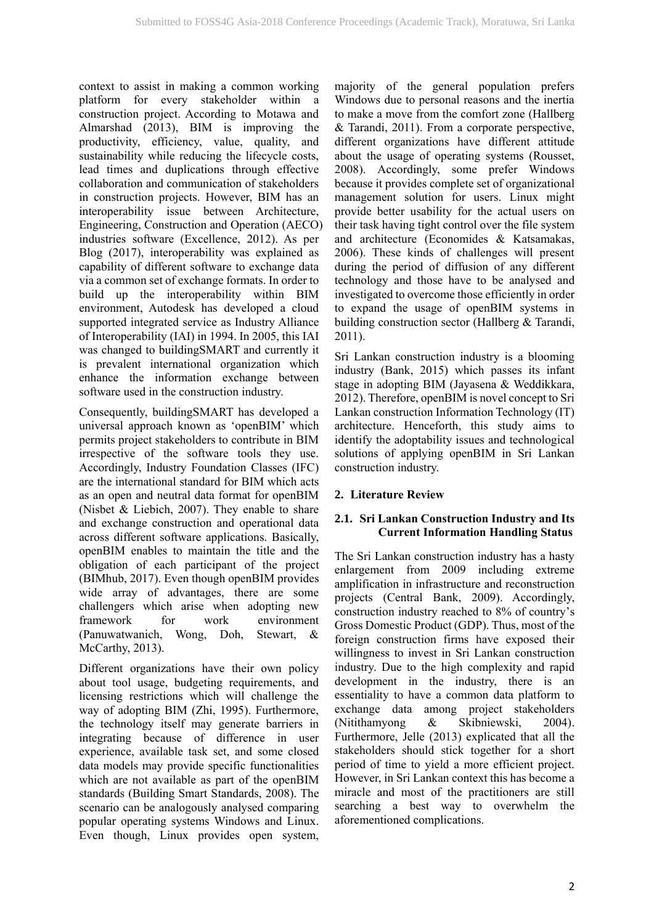context to assist in making a common working platform for every stakeholder within a construction project. According to Motawa and Almarshad (2013), BIM is improving the productivity, efficiency, value, quality, and sustainability while reducing the lifecycle costs, lead times and duplications through effective collaboration and communication of stakeholders in construction projects. However, BIM has an interoperability issue between Architecture, Engineering, Construction and Operation (AECO) industries software (Excellence, 2012). As per Blog (2017), interoperability was explained as capability of different software to exchange data via a common set of exchange formats. In order to build up the interoperability within BIM environment, Autodesk has developed a cloud supported integrated service as Industry Alliance of Interoperability (IAI) in 1994. In 2005, this IAI was changed to buildingSMART and currently it is prevalent international organization which enhance the information exchange between software used in the construction industry.

Consequently, buildingSMART has developed a universal approach known as 'openBIM' which permits project stakeholders to contribute in BIM irrespective of the software tools they use. Accordingly, Industry Foundation Classes (IFC) are the international standard for BIM which acts as an open and neutral data format for openBIM (Nisbet & Liebich, 2007). They enable to share and exchange construction and operational data across different software applications. Basically, openBIM enables to maintain the title and the obligation of each participant of the project (BIMhub, 2017). Even though openBIM provides wide array of advantages, there are some challengers which arise when adopting new framework for work environment (Panuwatwanich, Wong, Doh, Stewart, & McCarthy, 2013).

Different organizations have their own policy about tool usage, budgeting requirements, and licensing restrictions which will challenge the way of adopting BIM (Zhi, 1995). Furthermore, the technology itself may generate barriers in integrating because of difference in user experience, available task set, and some closed data models may provide specific functionalities which are not available as part of the openBIM standards (Building Smart Standards, 2008). The scenario can be analogously analysed comparing popular operating systems Windows and Linux. Even though, Linux provides open system,

majority of the general population prefers Windows due to personal reasons and the inertia to make a move from the comfort zone (Hallberg & Tarandi, 2011). From a corporate perspective, different organizations have different attitude about the usage of operating systems (Rousset, 2008). Accordingly, some prefer Windows because it provides complete set of organizational management solution for users. Linux might provide better usability for the actual users on their task having tight control over the file system and architecture (Economides & Katsamakas, 2006). These kinds of challenges will present during the period of diffusion of any different technology and those have to be analysed and investigated to overcome those efficiently in order to expand the usage of openBIM systems in building construction sector (Hallberg & Tarandi, 2011).

Sri Lankan construction industry is a blooming industry (Bank, 2015) which passes its infant stage in adopting BIM (Jayasena & Weddikkara, 2012). Therefore, openBIM is novel concept to Sri Lankan construction Information Technology (IT) architecture. Henceforth, this study aims to identify the adoptability issues and technological solutions of applying openBIM in Sri Lankan construction industry.

# **2. Literature Review**

# **2.1. Sri Lankan Construction Industry and Its Current Information Handling Status**

The Sri Lankan construction industry has a hasty enlargement from 2009 including extreme amplification in infrastructure and reconstruction projects (Central Bank, 2009). Accordingly, construction industry reached to 8% of country's Gross Domestic Product (GDP). Thus, most of the foreign construction firms have exposed their willingness to invest in Sri Lankan construction industry. Due to the high complexity and rapid development in the industry, there is an essentiality to have a common data platform to exchange data among project stakeholders (Nitithamyong & Skibniewski, 2004). Furthermore, Jelle (2013) explicated that all the stakeholders should stick together for a short period of time to yield a more efficient project. However, in Sri Lankan context this has become a miracle and most of the practitioners are still searching a best way to overwhelm the aforementioned complications.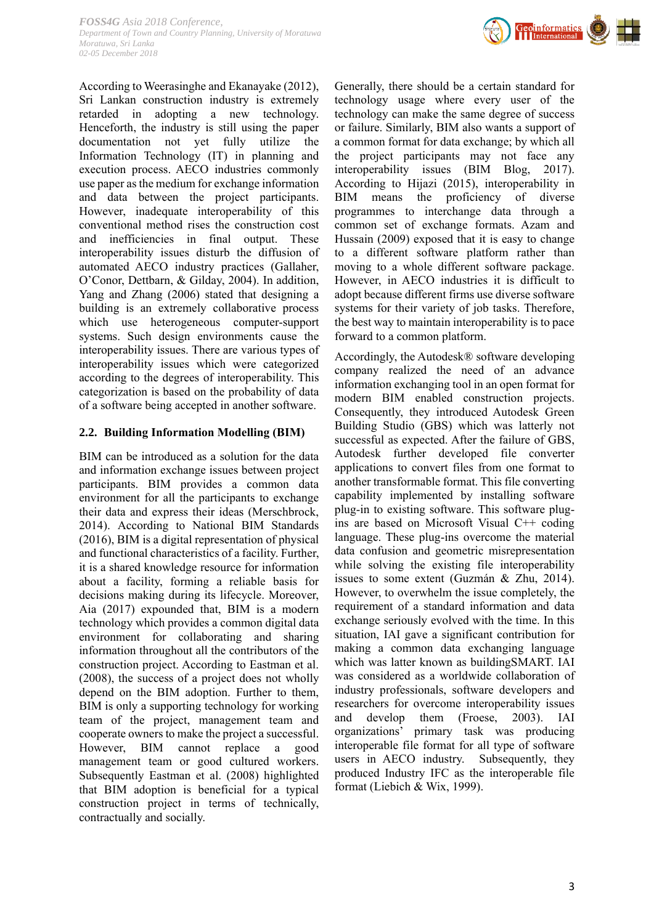

Geo<mark>informatics</mark><br>| | International

According to Weerasinghe and Ekanayake (2012), Sri Lankan construction industry is extremely retarded in adopting a new technology. Henceforth, the industry is still using the paper documentation not yet fully utilize the Information Technology (IT) in planning and execution process. AECO industries commonly use paper as the medium for exchange information and data between the project participants. However, inadequate interoperability of this conventional method rises the construction cost and inefficiencies in final output. These interoperability issues disturb the diffusion of automated AECO industry practices (Gallaher, O'Conor, Dettbarn, & Gilday, 2004). In addition, Yang and Zhang (2006) stated that designing a building is an extremely collaborative process which use heterogeneous computer-support systems. Such design environments cause the interoperability issues. There are various types of interoperability issues which were categorized according to the degrees of interoperability. This categorization is based on the probability of data of a software being accepted in another software.

#### **2.2. Building Information Modelling (BIM)**

BIM can be introduced as a solution for the data and information exchange issues between project participants. BIM provides a common data environment for all the participants to exchange their data and express their ideas (Merschbrock, 2014). According to National BIM Standards (2016), BIM is a digital representation of physical and functional characteristics of a facility. Further, it is a shared knowledge resource for information about a facility, forming a reliable basis for decisions making during its lifecycle. Moreover, Aia (2017) expounded that, BIM is a modern technology which provides a common digital data environment for collaborating and sharing information throughout all the contributors of the construction project. According to Eastman et al. (2008), the success of a project does not wholly depend on the BIM adoption. Further to them, BIM is only a supporting technology for working team of the project, management team and cooperate owners to make the project a successful. However, BIM cannot replace a good management team or good cultured workers. Subsequently Eastman et al. (2008) highlighted that BIM adoption is beneficial for a typical construction project in terms of technically, contractually and socially.

Generally, there should be a certain standard for technology usage where every user of the technology can make the same degree of success or failure. Similarly, BIM also wants a support of a common format for data exchange; by which all the project participants may not face any interoperability issues (BIM Blog, 2017). According to Hijazi (2015), interoperability in BIM means the proficiency of diverse programmes to interchange data through a common set of exchange formats. Azam and Hussain (2009) exposed that it is easy to change to a different software platform rather than moving to a whole different software package. However, in AECO industries it is difficult to adopt because different firms use diverse software systems for their variety of job tasks. Therefore, the best way to maintain interoperability is to pace forward to a common platform.

Accordingly, the Autodesk® software developing company realized the need of an advance information exchanging tool in an open format for modern BIM enabled construction projects. Consequently, they introduced Autodesk Green Building Studio (GBS) which was latterly not successful as expected. After the failure of GBS, Autodesk further developed file converter applications to convert files from one format to another transformable format. This file converting capability implemented by installing software plug-in to existing software. This software plugins are based on Microsoft Visual C++ coding language. These plug-ins overcome the material data confusion and geometric misrepresentation while solving the existing file interoperability issues to some extent (Guzmán & Zhu, 2014). However, to overwhelm the issue completely, the requirement of a standard information and data exchange seriously evolved with the time. In this situation, IAI gave a significant contribution for making a common data exchanging language which was latter known as buildingSMART. IAI was considered as a worldwide collaboration of industry professionals, software developers and researchers for overcome interoperability issues and develop them (Froese, 2003). IAI organizations' primary task was producing interoperable file format for all type of software users in AECO industry. Subsequently, they produced Industry IFC as the interoperable file format (Liebich & Wix, 1999).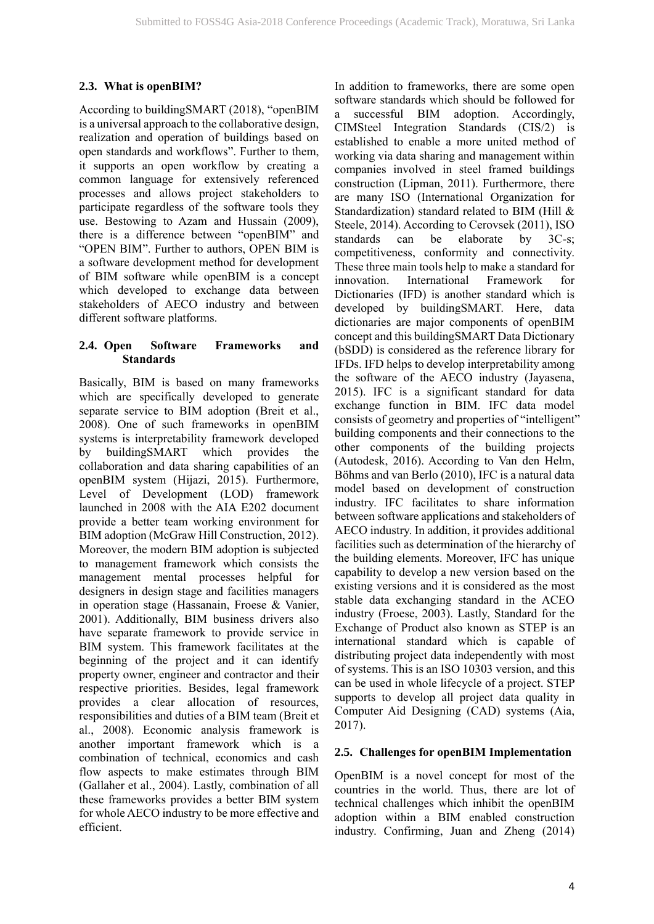# **2.3. What is openBIM?**

According to buildingSMART (2018), "openBIM is a universal approach to the collaborative design, realization and operation of buildings based on open standards and workflows". Further to them, it supports an open workflow by creating a common language for extensively referenced processes and allows project stakeholders to participate regardless of the software tools they use. Bestowing to Azam and Hussain (2009), there is a difference between "openBIM" and "OPEN BIM". Further to authors, OPEN BIM is a software development method for development of BIM software while openBIM is a concept which developed to exchange data between stakeholders of AECO industry and between different software platforms.

# **2.4. Open Software Frameworks and Standards**

Basically, BIM is based on many frameworks which are specifically developed to generate separate service to BIM adoption (Breit et al., 2008). One of such frameworks in openBIM systems is interpretability framework developed by buildingSMART which provides the collaboration and data sharing capabilities of an openBIM system (Hijazi, 2015). Furthermore, Level of Development (LOD) framework launched in 2008 with the AIA E202 document provide a better team working environment for BIM adoption (McGraw Hill Construction, 2012). Moreover, the modern BIM adoption is subjected to management framework which consists the management mental processes helpful for designers in design stage and facilities managers in operation stage (Hassanain, Froese & Vanier, 2001). Additionally, BIM business drivers also have separate framework to provide service in BIM system. This framework facilitates at the beginning of the project and it can identify property owner, engineer and contractor and their respective priorities. Besides, legal framework provides a clear allocation of resources, responsibilities and duties of a BIM team (Breit et al., 2008). Economic analysis framework is another important framework which is a combination of technical, economics and cash flow aspects to make estimates through BIM (Gallaher et al., 2004). Lastly, combination of all these frameworks provides a better BIM system for whole AECO industry to be more effective and efficient.

In addition to frameworks, there are some open software standards which should be followed for a successful BIM adoption. Accordingly, CIMSteel Integration Standards (CIS/2) is established to enable a more united method of working via data sharing and management within companies involved in steel framed buildings construction (Lipman, 2011). Furthermore, there are many ISO (International Organization for Standardization) standard related to BIM (Hill & Steele, 2014). According to Cerovsek (2011), ISO standards can be elaborate by 3C-s; competitiveness, conformity and connectivity. These three main tools help to make a standard for innovation. International Framework for Dictionaries (IFD) is another standard which is developed by buildingSMART. Here, data dictionaries are major components of openBIM concept and this buildingSMART Data Dictionary (bSDD) is considered as the reference library for IFDs. IFD helps to develop interpretability among the software of the AECO industry (Jayasena, 2015). IFC is a significant standard for data exchange function in BIM. IFC data model consists of geometry and properties of "intelligent" building components and their connections to the other components of the building projects (Autodesk, 2016). According to Van den Helm, Böhms and van Berlo (2010), IFC is a natural data model based on development of construction industry. IFC facilitates to share information between software applications and stakeholders of AECO industry. In addition, it provides additional facilities such as determination of the hierarchy of the building elements. Moreover, IFC has unique capability to develop a new version based on the existing versions and it is considered as the most stable data exchanging standard in the ACEO industry (Froese, 2003). Lastly, Standard for the Exchange of Product also known as STEP is an international standard which is capable of distributing project data independently with most of systems. This is an ISO 10303 version, and this can be used in whole lifecycle of a project. STEP supports to develop all project data quality in Computer Aid Designing (CAD) systems (Aia, 2017).

# **2.5. Challenges for openBIM Implementation**

OpenBIM is a novel concept for most of the countries in the world. Thus, there are lot of technical challenges which inhibit the openBIM adoption within a BIM enabled construction industry. Confirming, Juan and Zheng (2014)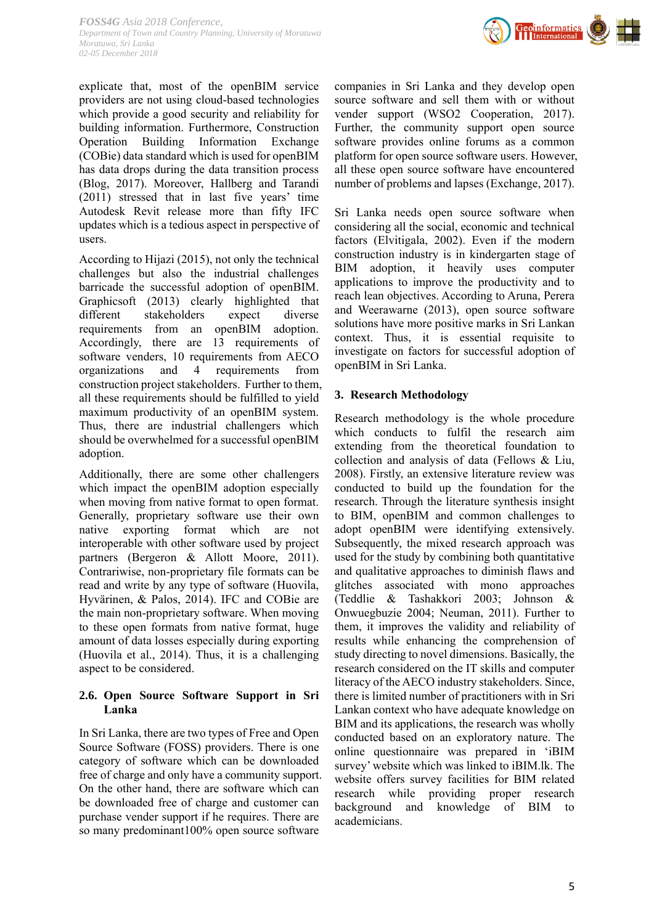*FOSS4G Asia 2018 Conference, Department of Town and Country Planning, University of Moratuwa Moratuwa, Sri Lanka 02-05 December 2018*



explicate that, most of the openBIM service providers are not using cloud-based technologies which provide a good security and reliability for building information. Furthermore, Construction Operation Building Information Exchange (COBie) data standard which is used for openBIM has data drops during the data transition process (Blog, 2017). Moreover, Hallberg and Tarandi (2011) stressed that in last five years' time Autodesk Revit release more than fifty IFC updates which is a tedious aspect in perspective of users.

According to Hijazi (2015), not only the technical challenges but also the industrial challenges barricade the successful adoption of openBIM. Graphicsoft (2013) clearly highlighted that different stakeholders expect diverse requirements from an openBIM adoption. Accordingly, there are 13 requirements of software venders, 10 requirements from AECO organizations and 4 requirements from construction project stakeholders. Further to them, all these requirements should be fulfilled to yield maximum productivity of an openBIM system. Thus, there are industrial challengers which should be overwhelmed for a successful openBIM adoption.

Additionally, there are some other challengers which impact the openBIM adoption especially when moving from native format to open format. Generally, proprietary software use their own native exporting format which are not interoperable with other software used by project partners (Bergeron & Allott Moore, 2011). Contrariwise, non-proprietary file formats can be read and write by any type of software (Huovila, Hyvärinen, & Palos, 2014). IFC and COBie are the main non-proprietary software. When moving to these open formats from native format, huge amount of data losses especially during exporting (Huovila et al., 2014). Thus, it is a challenging aspect to be considered.

# **2.6. Open Source Software Support in Sri Lanka**

In Sri Lanka, there are two types of Free and Open Source Software (FOSS) providers. There is one category of software which can be downloaded free of charge and only have a community support. On the other hand, there are software which can be downloaded free of charge and customer can purchase vender support if he requires. There are so many predominant100% open source software

companies in Sri Lanka and they develop open source software and sell them with or without vender support (WSO2 Cooperation, 2017). Further, the community support open source software provides online forums as a common platform for open source software users. However, all these open source software have encountered number of problems and lapses (Exchange, 2017).

Sri Lanka needs open source software when considering all the social, economic and technical factors (Elvitigala, 2002). Even if the modern construction industry is in kindergarten stage of BIM adoption, it heavily uses computer applications to improve the productivity and to reach lean objectives. According to Aruna, Perera and Weerawarne (2013), open source software solutions have more positive marks in Sri Lankan context. Thus, it is essential requisite to investigate on factors for successful adoption of openBIM in Sri Lanka.

# **3. Research Methodology**

Research methodology is the whole procedure which conducts to fulfil the research aim extending from the theoretical foundation to collection and analysis of data (Fellows & Liu, 2008). Firstly, an extensive literature review was conducted to build up the foundation for the research. Through the literature synthesis insight to BIM, openBIM and common challenges to adopt openBIM were identifying extensively. Subsequently, the mixed research approach was used for the study by combining both quantitative and qualitative approaches to diminish flaws and glitches associated with mono approaches (Teddlie & Tashakkori 2003; Johnson & Onwuegbuzie 2004; Neuman, 2011). Further to them, it improves the validity and reliability of results while enhancing the comprehension of study directing to novel dimensions. Basically, the research considered on the IT skills and computer literacy of the AECO industry stakeholders. Since, there is limited number of practitioners with in Sri Lankan context who have adequate knowledge on BIM and its applications, the research was wholly conducted based on an exploratory nature. The online questionnaire was prepared in 'iBIM survey' website which was linked to iBIM.lk. The website offers survey facilities for BIM related research while providing proper research background and knowledge of BIM to academicians.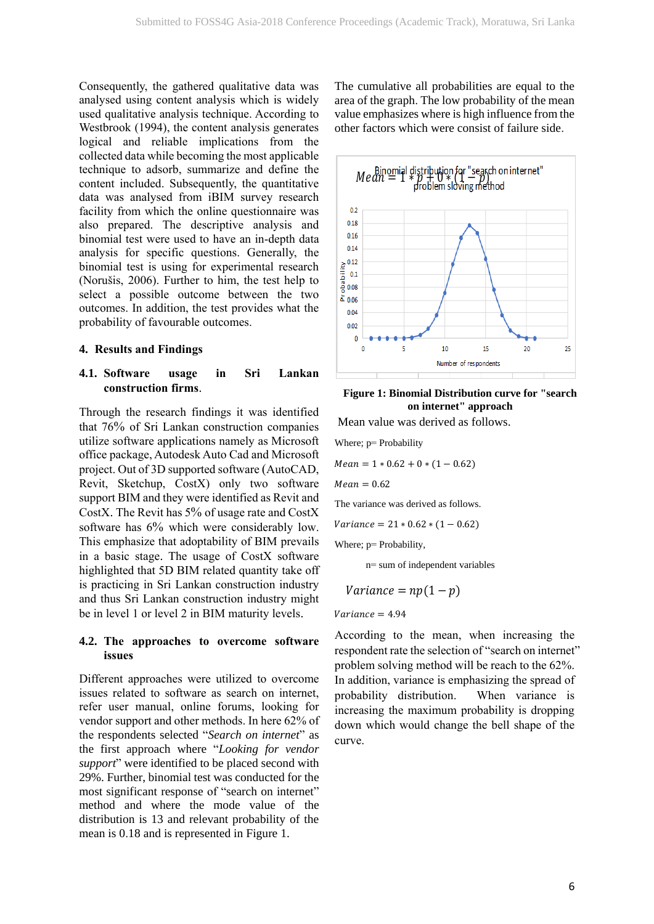Consequently, the gathered qualitative data was analysed using content analysis which is widely used qualitative analysis technique. According to Westbrook (1994), the content analysis generates logical and reliable implications from the collected data while becoming the most applicable technique to adsorb, summarize and define the content included. Subsequently, the quantitative data was analysed from iBIM survey research facility from which the online questionnaire was also prepared. The descriptive analysis and binomial test were used to have an in-depth data analysis for specific questions. Generally, the binomial test is using for experimental research (Norušis, 2006). Further to him, the test help to select a possible outcome between the two outcomes. In addition, the test provides what the probability of favourable outcomes.

#### **4. Results and Findings**

# **4.1. Software usage in Sri Lankan construction firms**.

Through the research findings it was identified that 76% of Sri Lankan construction companies utilize software applications namely as Microsoft office package, Autodesk Auto Cad and Microsoft project. Out of 3D supported software (AutoCAD, Revit, Sketchup, CostX) only two software support BIM and they were identified as Revit and CostX. The Revit has 5% of usage rate and CostX software has 6% which were considerably low. This emphasize that adoptability of BIM prevails in a basic stage. The usage of CostX software highlighted that 5D BIM related quantity take off is practicing in Sri Lankan construction industry and thus Sri Lankan construction industry might be in level 1 or level 2 in BIM maturity levels.

#### **4.2. The approaches to overcome software issues**

Different approaches were utilized to overcome issues related to software as search on internet, refer user manual, online forums, looking for vendor support and other methods. In here 62% of the respondents selected "*Search on internet*" as the first approach where "*Looking for vendor support*" were identified to be placed second with 29%. Further, binomial test was conducted for the most significant response of "search on internet" method and where the mode value of the distribution is 13 and relevant probability of the mean is 0.18 and is represented in Figure 1.

The cumulative all probabilities are equal to the area of the graph. The low probability of the mean value emphasizes where is high influence from the other factors which were consist of failure side.



#### **Figure 1: Binomial Distribution curve for "search on internet" approach**

Mean value was derived as follows.

Where; p= Probability

 $Mean = 1 * 0.62 + 0 * (1 - 0.62)$ 

 $Mean = 0.62$ 

The variance was derived as follows.

 $Variance = 21 * 0.62 * (1 - 0.62)$ 

Where; p= Probability,

n= sum of independent variables

$$
Variance = np(1 - p)
$$

 $Variance = 4.94$ 

According to the mean, when increasing the respondent rate the selection of "search on internet" problem solving method will be reach to the 62%. In addition, variance is emphasizing the spread of probability distribution. When variance is increasing the maximum probability is dropping down which would change the bell shape of the curve.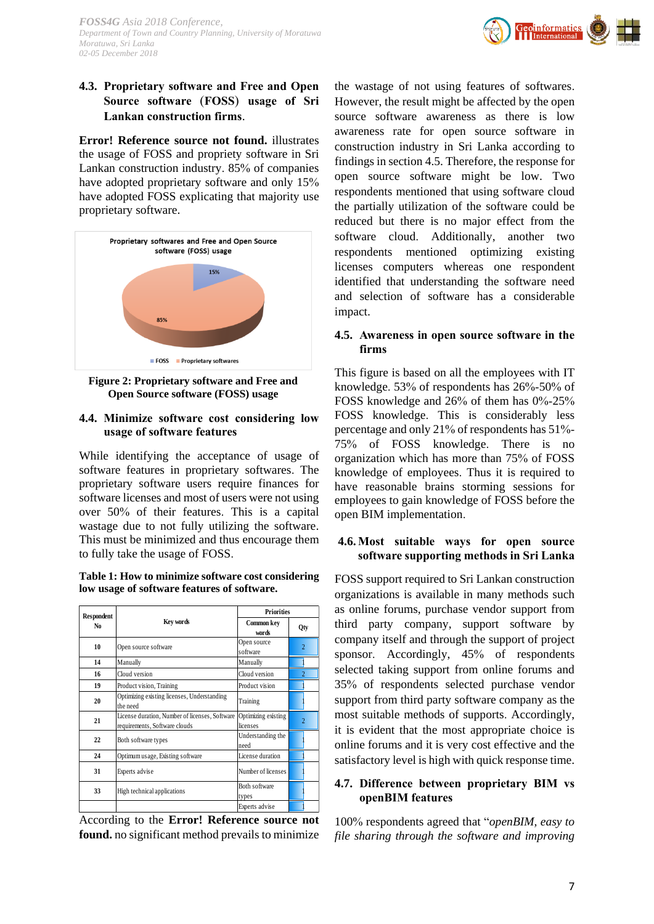# **4.3. Proprietary software and Free and Open Source software** (**FOSS**) **usage of Sri Lankan construction firms**.

**Error! Reference source not found.** illustrates the usage of FOSS and propriety software in Sri Lankan construction industry. 85% of companies have adopted proprietary software and only 15% have adopted FOSS explicating that majority use proprietary software.



**Figure 2: Proprietary software and Free and Open Source software (FOSS) usage**

#### **4.4. Minimize software cost considering low usage of software features**

While identifying the acceptance of usage of software features in proprietary softwares. The proprietary software users require finances for software licenses and most of users were not using over 50% of their features. This is a capital wastage due to not fully utilizing the software. This must be minimized and thus encourage them to fully take the usage of FOSS.

| Table 1: How to minimize software cost considering |  |
|----------------------------------------------------|--|
| low usage of software features of software.        |  |

| Respondent |                                                                                 | <b>Priorities</b>               |                |
|------------|---------------------------------------------------------------------------------|---------------------------------|----------------|
| No.        | Key words                                                                       | Common key<br>words             | Qty            |
| 10         | Open source software                                                            | Open source<br>software         | $\overline{2}$ |
| 14         | Manually                                                                        | Manually                        |                |
| 16         | Cloud version                                                                   | Cloud version                   |                |
| 19         | Product vision, Training                                                        | Product vision                  |                |
| 20         | Optimizing existing licenses, Understanding<br>the need                         | Training                        |                |
| 21         | License duration, Number of licenses, Software<br>requirements, Software clouds | Optimizing existing<br>licenses |                |
| 22         | Both software types                                                             | Understanding the<br>need       |                |
| 24         | Optimum usage, Existing software                                                | License duration                |                |
| 31         | Experts advise                                                                  | Number of licenses              |                |
| 33         | High technical applications                                                     | Both software<br>types          |                |
|            |                                                                                 | Experts advise                  |                |

According to the **Error! Reference source not found.** no significant method prevails to minimize

the wastage of not using features of softwares. However, the result might be affected by the open source software awareness as there is low awareness rate for open source software in construction industry in Sri Lanka according to findings in section 4.5. Therefore, the response for open source software might be low. Two respondents mentioned that using software cloud the partially utilization of the software could be reduced but there is no major effect from the software cloud. Additionally, another two respondents mentioned optimizing existing licenses computers whereas one respondent identified that understanding the software need and selection of software has a considerable impact.

#### **4.5. Awareness in open source software in the firms**

This figure is based on all the employees with IT knowledge. 53% of respondents has 26%-50% of FOSS knowledge and 26% of them has 0%-25% FOSS knowledge. This is considerably less percentage and only 21% of respondents has 51%- 75% of FOSS knowledge. There is no organization which has more than 75% of FOSS knowledge of employees. Thus it is required to have reasonable brains storming sessions for employees to gain knowledge of FOSS before the open BIM implementation.

# **4.6. Most suitable ways for open source software supporting methods in Sri Lanka**

FOSS support required to Sri Lankan construction organizations is available in many methods such as online forums, purchase vendor support from third party company, support software by company itself and through the support of project sponsor. Accordingly, 45% of respondents selected taking support from online forums and 35% of respondents selected purchase vendor support from third party software company as the most suitable methods of supports. Accordingly, it is evident that the most appropriate choice is online forums and it is very cost effective and the satisfactory level is high with quick response time.

# **4.7. Difference between proprietary BIM vs openBIM features**

100% respondents agreed that "*openBIM, easy to file sharing through the software and improving*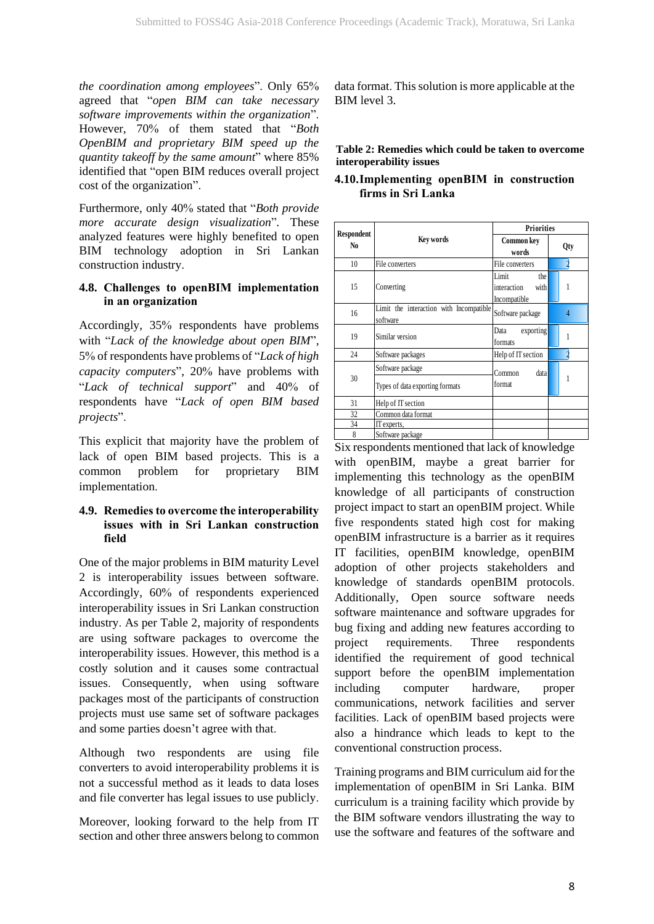*the coordination among employees*". Only 65% agreed that "*open BIM can take necessary software improvements within the organization*". However, 70% of them stated that "*Both OpenBIM and proprietary BIM speed up the quantity takeoff by the same amount*" where 85% identified that "open BIM reduces overall project cost of the organization".

Furthermore, only 40% stated that "*Both provide more accurate design visualization*"*.* These analyzed features were highly benefited to open BIM technology adoption in Sri Lankan construction industry.

# **4.8. Challenges to openBIM implementation in an organization**

Accordingly, 35% respondents have problems with "*Lack of the knowledge about open BIM*"*,* 5% of respondents have problems of "*Lack of high capacity computers*", 20% have problems with "*Lack of technical support*" and 40% of respondents have "*Lack of open BIM based projects*".

This explicit that majority have the problem of lack of open BIM based projects. This is a common problem for proprietary BIM implementation.

### **4.9. Remedies to overcome the interoperability issues with in Sri Lankan construction field**

One of the major problems in BIM maturity Level 2 is interoperability issues between software. Accordingly, 60% of respondents experienced interoperability issues in Sri Lankan construction industry. As per Table 2, majority of respondents are using software packages to overcome the interoperability issues. However, this method is a costly solution and it causes some contractual issues. Consequently, when using software packages most of the participants of construction projects must use same set of software packages and some parties doesn't agree with that.

Although two respondents are using file converters to avoid interoperability problems it is not a successful method as it leads to data loses and file converter has legal issues to use publicly.

Moreover, looking forward to the help from IT section and other three answers belong to common data format. This solution is more applicable at the BIM level 3.

**Table 2: Remedies which could be taken to overcome interoperability issues**

### **4.10.Implementing openBIM in construction firms in Sri Lanka**

|                  | <b>Priorities</b>                                   |                                                     |     |
|------------------|-----------------------------------------------------|-----------------------------------------------------|-----|
| Respondent<br>No | Key words                                           | Common key<br>words                                 | Qty |
| 10               | File converters                                     | File converters                                     |     |
| 15               | Converting                                          | Limit<br>the<br>with<br>interaction<br>Incompatible |     |
| 16               | Limit the interaction with Incompatible<br>software | Software package                                    | 4   |
| 19               | Similar version                                     | exporting<br>Data<br>formats                        |     |
| 24               | Software packages                                   | Help of IT section                                  |     |
| 30               | Software package<br>Types of data exporting formats | data<br>Common<br>format                            | 1   |
| 31               | Help of IT section                                  |                                                     |     |
| 32               | Common data format                                  |                                                     |     |
| 34               | IT experts,                                         |                                                     |     |
| 8                | Software package                                    |                                                     |     |

Six respondents mentioned that lack of knowledge with openBIM, maybe a great barrier for implementing this technology as the openBIM knowledge of all participants of construction project impact to start an openBIM project. While five respondents stated high cost for making openBIM infrastructure is a barrier as it requires IT facilities, openBIM knowledge, openBIM adoption of other projects stakeholders and knowledge of standards openBIM protocols. Additionally, Open source software needs software maintenance and software upgrades for bug fixing and adding new features according to project requirements. Three respondents identified the requirement of good technical support before the openBIM implementation including computer hardware, proper communications, network facilities and server facilities. Lack of openBIM based projects were also a hindrance which leads to kept to the conventional construction process.

Training programs and BIM curriculum aid for the implementation of openBIM in Sri Lanka. BIM curriculum is a training facility which provide by the BIM software vendors illustrating the way to use the software and features of the software and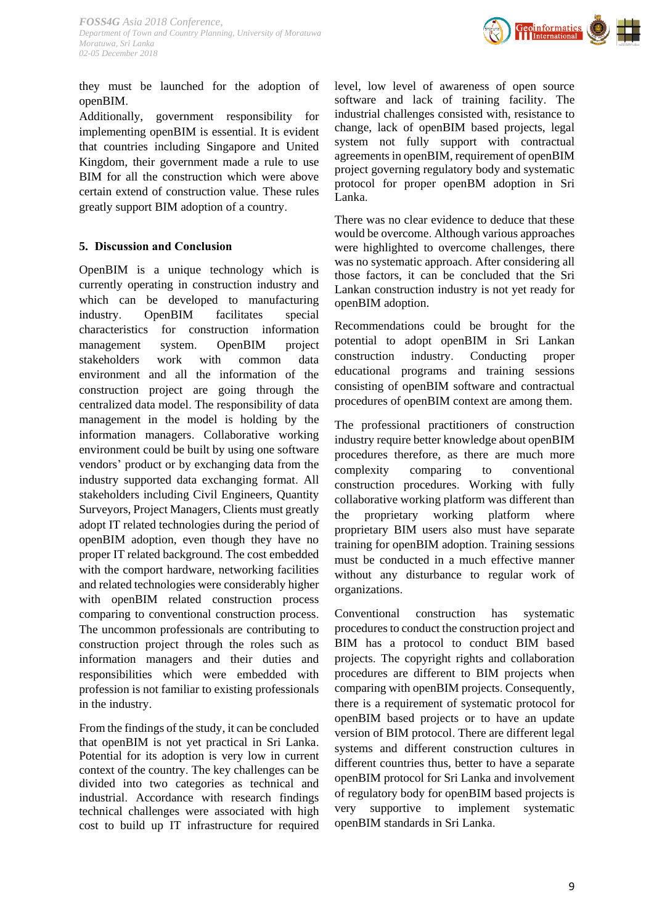

they must be launched for the adoption of openBIM.

Additionally, government responsibility for implementing openBIM is essential. It is evident that countries including Singapore and United Kingdom, their government made a rule to use BIM for all the construction which were above certain extend of construction value. These rules greatly support BIM adoption of a country.

# **5. Discussion and Conclusion**

OpenBIM is a unique technology which is currently operating in construction industry and which can be developed to manufacturing industry. OpenBIM facilitates special characteristics for construction information management system. OpenBIM project stakeholders work with common data environment and all the information of the construction project are going through the centralized data model. The responsibility of data management in the model is holding by the information managers. Collaborative working environment could be built by using one software vendors' product or by exchanging data from the industry supported data exchanging format. All stakeholders including Civil Engineers, Quantity Surveyors, Project Managers, Clients must greatly adopt IT related technologies during the period of openBIM adoption, even though they have no proper IT related background. The cost embedded with the comport hardware, networking facilities and related technologies were considerably higher with openBIM related construction process comparing to conventional construction process. The uncommon professionals are contributing to construction project through the roles such as information managers and their duties and responsibilities which were embedded with profession is not familiar to existing professionals in the industry.

From the findings of the study, it can be concluded that openBIM is not yet practical in Sri Lanka. Potential for its adoption is very low in current context of the country. The key challenges can be divided into two categories as technical and industrial. Accordance with research findings technical challenges were associated with high cost to build up IT infrastructure for required level, low level of awareness of open source software and lack of training facility. The industrial challenges consisted with, resistance to change, lack of openBIM based projects, legal system not fully support with contractual agreements in openBIM, requirement of openBIM project governing regulatory body and systematic protocol for proper openBM adoption in Sri Lanka.

There was no clear evidence to deduce that these would be overcome. Although various approaches were highlighted to overcome challenges, there was no systematic approach. After considering all those factors, it can be concluded that the Sri Lankan construction industry is not yet ready for openBIM adoption.

Recommendations could be brought for the potential to adopt openBIM in Sri Lankan construction industry. Conducting proper educational programs and training sessions consisting of openBIM software and contractual procedures of openBIM context are among them.

The professional practitioners of construction industry require better knowledge about openBIM procedures therefore, as there are much more complexity comparing to conventional construction procedures. Working with fully collaborative working platform was different than the proprietary working platform where proprietary BIM users also must have separate training for openBIM adoption. Training sessions must be conducted in a much effective manner without any disturbance to regular work of organizations.

Conventional construction has systematic procedures to conduct the construction project and BIM has a protocol to conduct BIM based projects. The copyright rights and collaboration procedures are different to BIM projects when comparing with openBIM projects. Consequently, there is a requirement of systematic protocol for openBIM based projects or to have an update version of BIM protocol. There are different legal systems and different construction cultures in different countries thus, better to have a separate openBIM protocol for Sri Lanka and involvement of regulatory body for openBIM based projects is very supportive to implement systematic openBIM standards in Sri Lanka.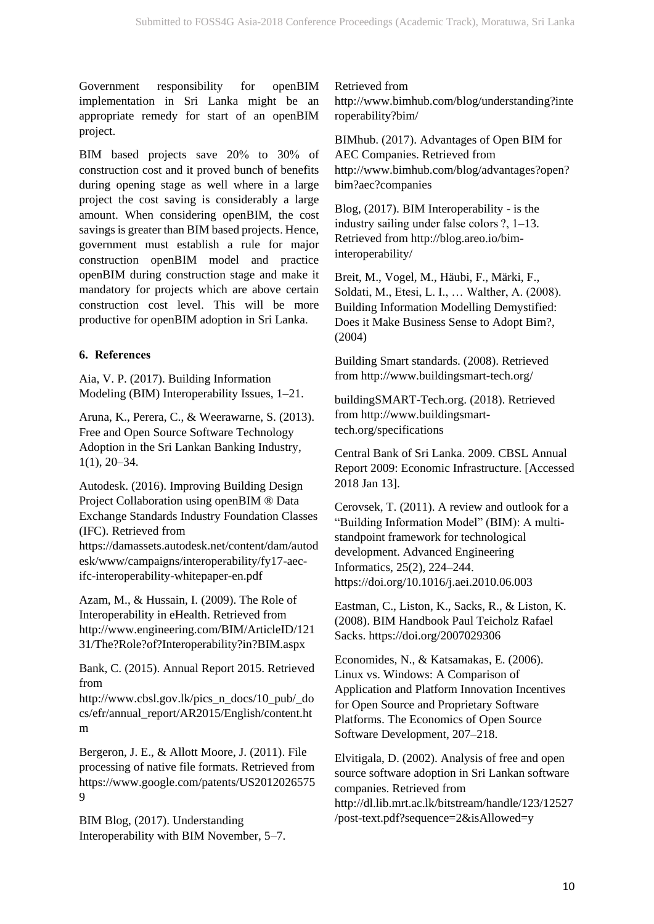Government responsibility for openBIM implementation in Sri Lanka might be an appropriate remedy for start of an openBIM project.

BIM based projects save 20% to 30% of construction cost and it proved bunch of benefits during opening stage as well where in a large project the cost saving is considerably a large amount. When considering openBIM, the cost savings is greater than BIM based projects. Hence, government must establish a rule for major construction openBIM model and practice openBIM during construction stage and make it mandatory for projects which are above certain construction cost level. This will be more productive for openBIM adoption in Sri Lanka.

# **6. References**

Aia, V. P. (2017). Building Information Modeling (BIM) Interoperability Issues, 1–21.

Aruna, K., Perera, C., & Weerawarne, S. (2013). Free and Open Source Software Technology Adoption in the Sri Lankan Banking Industry, 1(1), 20–34.

Autodesk. (2016). Improving Building Design Project Collaboration using openBIM ® Data Exchange Standards Industry Foundation Classes (IFC). Retrieved from

https://damassets.autodesk.net/content/dam/autod esk/www/campaigns/interoperability/fy17-aecifc-interoperability-whitepaper-en.pdf

Azam, M., & Hussain, I. (2009). The Role of Interoperability in eHealth. Retrieved from http://www.engineering.com/BIM/ArticleID/121 31/The?Role?of?Interoperability?in?BIM.aspx

Bank, C. (2015). Annual Report 2015. Retrieved from

http://www.cbsl.gov.lk/pics\_n\_docs/10\_pub/\_do cs/efr/annual\_report/AR2015/English/content.ht m

Bergeron, J. E., & Allott Moore, J. (2011). File processing of native file formats. Retrieved from https://www.google.com/patents/US2012026575 9

BIM Blog, (2017). Understanding Interoperability with BIM November, 5–7.

Retrieved from http://www.bimhub.com/blog/understanding?inte roperability?bim/

BIMhub. (2017). Advantages of Open BIM for AEC Companies. Retrieved from http://www.bimhub.com/blog/advantages?open? bim?aec?companies

Blog, (2017). BIM Interoperability - is the industry sailing under false colors ?, 1–13. Retrieved from http://blog.areo.io/biminteroperability/

Breit, M., Vogel, M., Häubi, F., Märki, F., Soldati, M., Etesi, L. I., … Walther, A. (2008). Building Information Modelling Demystified: Does it Make Business Sense to Adopt Bim?, (2004)

Building Smart standards. (2008). Retrieved from http://www.buildingsmart-tech.org/

buildingSMART-Tech.org. (2018). Retrieved from http://www.buildingsmarttech.org/specifications

Central Bank of Sri Lanka. 2009. CBSL Annual Report 2009: Economic Infrastructure. [Accessed 2018 Jan 13].

Cerovsek, T. (2011). A review and outlook for a "Building Information Model" (BIM): A multistandpoint framework for technological development. Advanced Engineering Informatics, 25(2), 224–244. https://doi.org/10.1016/j.aei.2010.06.003

Eastman, C., Liston, K., Sacks, R., & Liston, K. (2008). BIM Handbook Paul Teicholz Rafael Sacks. https://doi.org/2007029306

Economides, N., & Katsamakas, E. (2006). Linux vs. Windows: A Comparison of Application and Platform Innovation Incentives for Open Source and Proprietary Software Platforms. The Economics of Open Source Software Development, 207–218.

Elvitigala, D. (2002). Analysis of free and open source software adoption in Sri Lankan software companies. Retrieved from http://dl.lib.mrt.ac.lk/bitstream/handle/123/12527 /post-text.pdf?sequence=2&isAllowed=y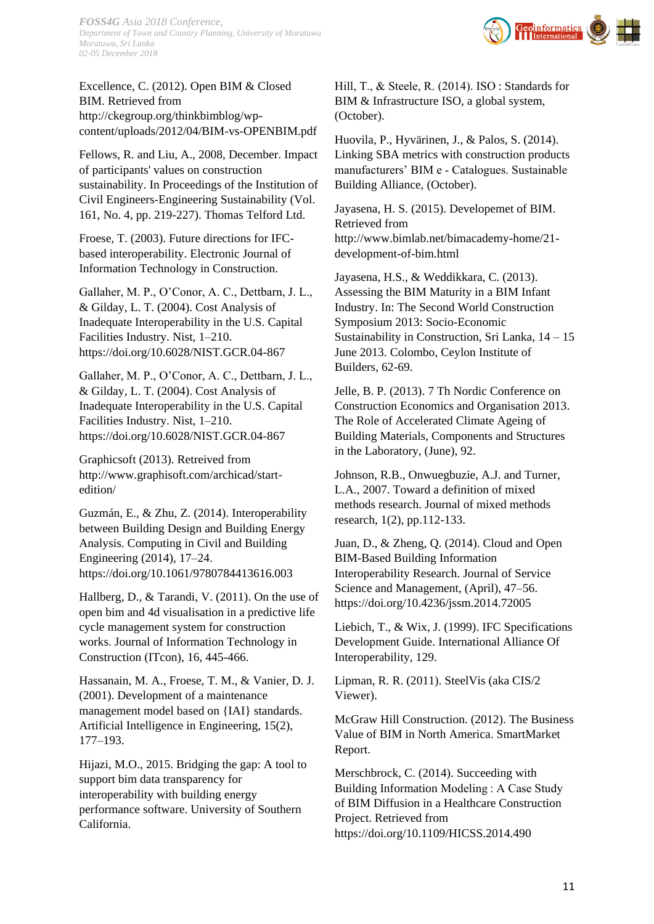

Excellence, C. (2012). Open BIM & Closed BIM. Retrieved from http://ckegroup.org/thinkbimblog/wpcontent/uploads/2012/04/BIM-vs-OPENBIM.pdf

Fellows, R. and Liu, A., 2008, December. Impact of participants' values on construction sustainability. In Proceedings of the Institution of Civil Engineers-Engineering Sustainability (Vol. 161, No. 4, pp. 219-227). Thomas Telford Ltd.

Froese, T. (2003). Future directions for IFCbased interoperability. Electronic Journal of Information Technology in Construction.

Gallaher, M. P., O'Conor, A. C., Dettbarn, J. L., & Gilday, L. T. (2004). Cost Analysis of Inadequate Interoperability in the U.S. Capital Facilities Industry. Nist, 1–210. https://doi.org/10.6028/NIST.GCR.04-867

Gallaher, M. P., O'Conor, A. C., Dettbarn, J. L., & Gilday, L. T. (2004). Cost Analysis of Inadequate Interoperability in the U.S. Capital Facilities Industry. Nist, 1–210. https://doi.org/10.6028/NIST.GCR.04-867

Graphicsoft (2013). Retreived from http://www.graphisoft.com/archicad/startedition/

Guzmán, E., & Zhu, Z. (2014). Interoperability between Building Design and Building Energy Analysis. Computing in Civil and Building Engineering (2014), 17–24. https://doi.org/10.1061/9780784413616.003

Hallberg, D., & Tarandi, V. (2011). On the use of open bim and 4d visualisation in a predictive life cycle management system for construction works. Journal of Information Technology in Construction (ITcon), 16, 445-466.

Hassanain, M. A., Froese, T. M., & Vanier, D. J. (2001). Development of a maintenance management model based on {IAI} standards. Artificial Intelligence in Engineering, 15(2), 177–193.

Hijazi, M.O., 2015. Bridging the gap: A tool to support bim data transparency for interoperability with building energy performance software. University of Southern California.

Hill, T., & Steele, R. (2014). ISO : Standards for BIM & Infrastructure ISO, a global system, (October).

Huovila, P., Hyvärinen, J., & Palos, S. (2014). Linking SBA metrics with construction products manufacturers' BIM e ‐ Catalogues. Sustainable Building Alliance, (October).

Jayasena, H. S. (2015). Developemet of BIM. Retrieved from http://www.bimlab.net/bimacademy-home/21 development-of-bim.html

Jayasena, H.S., & Weddikkara, C. (2013). Assessing the BIM Maturity in a BIM Infant Industry. In: The Second World Construction Symposium 2013: Socio-Economic Sustainability in Construction, Sri Lanka, 14 – 15 June 2013. Colombo, Ceylon Institute of Builders, 62-69.

Jelle, B. P. (2013). 7 Th Nordic Conference on Construction Economics and Organisation 2013. The Role of Accelerated Climate Ageing of Building Materials, Components and Structures in the Laboratory, (June), 92.

Johnson, R.B., Onwuegbuzie, A.J. and Turner, L.A., 2007. Toward a definition of mixed methods research. Journal of mixed methods research, 1(2), pp.112-133.

Juan, D., & Zheng, Q. (2014). Cloud and Open BIM-Based Building Information Interoperability Research. Journal of Service Science and Management, (April), 47–56. https://doi.org/10.4236/jssm.2014.72005

Liebich, T., & Wix, J. (1999). IFC Specifications Development Guide. International Alliance Of Interoperability, 129.

Lipman, R. R. (2011). SteelVis (aka CIS/2 Viewer).

McGraw Hill Construction. (2012). The Business Value of BIM in North America. SmartMarket Report.

Merschbrock, C. (2014). Succeeding with Building Information Modeling : A Case Study of BIM Diffusion in a Healthcare Construction Project. Retrieved from https://doi.org/10.1109/HICSS.2014.490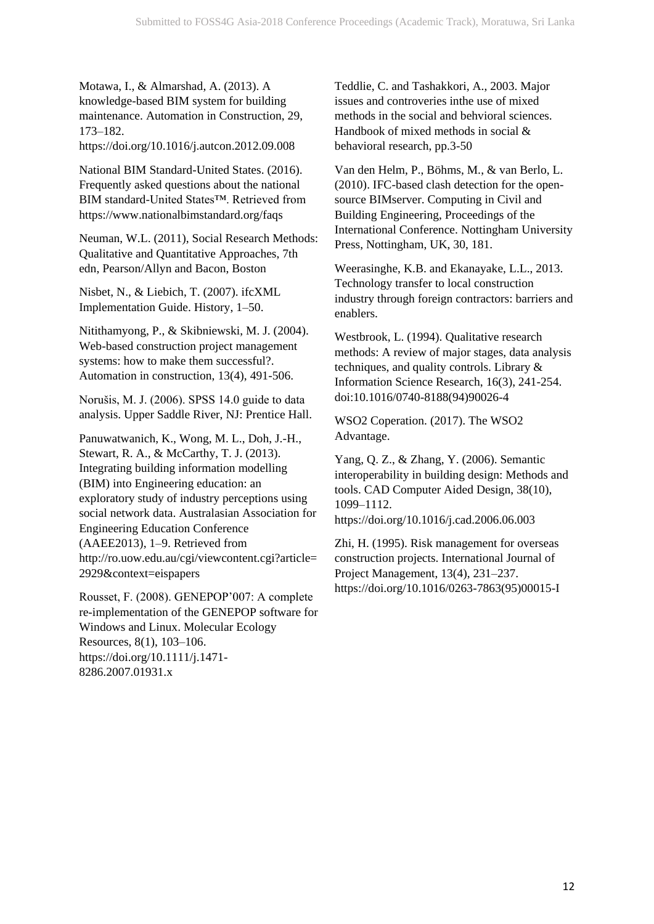Motawa, I., & Almarshad, A. (2013). A knowledge-based BIM system for building maintenance. Automation in Construction, 29, 173–182.

https://doi.org/10.1016/j.autcon.2012.09.008

National BIM Standard-United States. (2016). Frequently asked questions about the national BIM standard-United States™. Retrieved from https://www.nationalbimstandard.org/faqs

Neuman, W.L. (2011), Social Research Methods: Qualitative and Quantitative Approaches, 7th edn, Pearson/Allyn and Bacon, Boston

Nisbet, N., & Liebich, T. (2007). ifcXML Implementation Guide. History, 1–50.

Nitithamyong, P., & Skibniewski, M. J. (2004). Web-based construction project management systems: how to make them successful?. Automation in construction, 13(4), 491-506.

Norušis, M. J. (2006). SPSS 14.0 guide to data analysis. Upper Saddle River, NJ: Prentice Hall.

Panuwatwanich, K., Wong, M. L., Doh, J.-H., Stewart, R. A., & McCarthy, T. J. (2013). Integrating building information modelling (BIM) into Engineering education: an exploratory study of industry perceptions using social network data. Australasian Association for Engineering Education Conference (AAEE2013), 1–9. Retrieved from http://ro.uow.edu.au/cgi/viewcontent.cgi?article= 2929&context=eispapers

Rousset, F. (2008). GENEPOP'007: A complete re-implementation of the GENEPOP software for Windows and Linux. Molecular Ecology Resources, 8(1), 103–106. https://doi.org/10.1111/j.1471- 8286.2007.01931.x

Teddlie, C. and Tashakkori, A., 2003. Major issues and controveries inthe use of mixed methods in the social and behvioral sciences. Handbook of mixed methods in social & behavioral research, pp.3-50

Van den Helm, P., Böhms, M., & van Berlo, L. (2010). IFC-based clash detection for the opensource BIMserver. Computing in Civil and Building Engineering, Proceedings of the International Conference. Nottingham University Press, Nottingham, UK, 30, 181.

Weerasinghe, K.B. and Ekanayake, L.L., 2013. Technology transfer to local construction industry through foreign contractors: barriers and enablers.

Westbrook, L. (1994). Qualitative research methods: A review of major stages, data analysis techniques, and quality controls. Library & Information Science Research, 16(3), 241-254. doi:10.1016/0740-8188(94)90026-4

WSO2 Coperation. (2017). The WSO2 Advantage.

Yang, Q. Z., & Zhang, Y. (2006). Semantic interoperability in building design: Methods and tools. CAD Computer Aided Design, 38(10), 1099–1112. https://doi.org/10.1016/j.cad.2006.06.003

Zhi, H. (1995). Risk management for overseas construction projects. International Journal of Project Management, 13(4), 231–237. https://doi.org/10.1016/0263-7863(95)00015-I